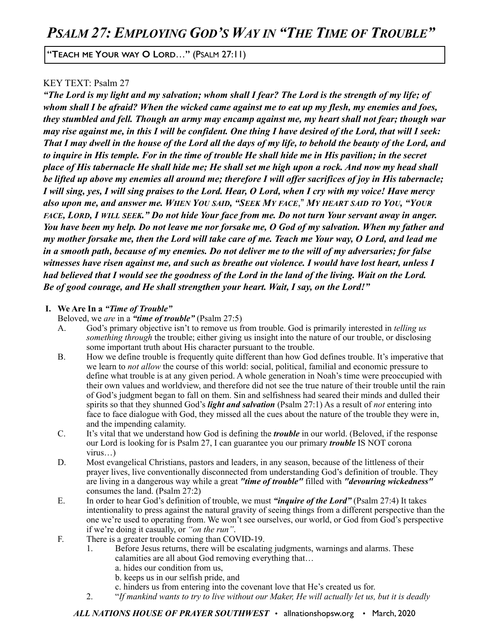**"TEACH ME YOUR WAY O LORD**…**"** (PSALM 27:11)

## KEY TEXT: Psalm 27

*"The Lord is my light and my salvation; whom shall I fear? The Lord is the strength of my life; of whom shall I be afraid? When the wicked came against me to eat up my flesh, my enemies and foes, they stumbled and fell. Though an army may encamp against me, my heart shall not fear; though war may rise against me, in this I will be confident. One thing I have desired of the Lord, that will I seek: That I may dwell in the house of the Lord all the days of my life, to behold the beauty of the Lord, and to inquire in His temple. For in the time of trouble He shall hide me in His pavilion; in the secret place of His tabernacle He shall hide me; He shall set me high upon a rock. And now my head shall be lifted up above my enemies all around me; therefore I will offer sacrifices of joy in His tabernacle; I will sing, yes, I will sing praises to the Lord. Hear, O Lord, when I cry with my voice! Have mercy also upon me, and answer me. WHEN YOU SAID, "SEEK MY FACE*," *MY HEART SAID TO YOU, "YOUR FACE, LORD, I WILL SEEK." Do not hide Your face from me. Do not turn Your servant away in anger. You have been my help. Do not leave me nor forsake me, O God of my salvation. When my father and my mother forsake me, then the Lord will take care of me. Teach me Your way, O Lord, and lead me in a smooth path, because of my enemies. Do not deliver me to the will of my adversaries; for false witnesses have risen against me, and such as breathe out violence. I would have lost heart, unless I had believed that I would see the goodness of the Lord in the land of the living. Wait on the Lord. Be of good courage, and He shall strengthen your heart. Wait, I say, on the Lord!"* 

### **I. We Are In a** *"Time of Trouble"*

Beloved, we *are* in a *"time of trouble"* (Psalm 27:5)

- A. God's primary objective isn't to remove us from trouble. God is primarily interested in *telling us something through* the trouble; either giving us insight into the nature of our trouble, or disclosing some important truth about His character pursuant to the trouble.
- B. How we define trouble is frequently quite different than how God defines trouble. It's imperative that we learn to *not allow* the course of this world: social, political, familial and economic pressure to define what trouble is at any given period. A whole generation in Noah's time were preoccupied with their own values and worldview, and therefore did not see the true nature of their trouble until the rain of God's judgment began to fall on them. Sin and selfishness had seared their minds and dulled their spirits so that they shunned God's *light and salvation* (Psalm 27:1) As a result of *not* entering into face to face dialogue with God, they missed all the cues about the nature of the trouble they were in, and the impending calamity.
- C. It's vital that we understand how God is defining the *trouble* in our world. (Beloved, if the response our Lord is looking for is Psalm 27, I can guarantee you our primary *trouble* IS NOT corona virus…)
- D. Most evangelical Christians, pastors and leaders, in any season, because of the littleness of their prayer lives, live conventionally disconnected from understanding God's definition of trouble. They are living in a dangerous way while a great *"time of trouble"* filled with *"devouring wickedness"* consumes the land. (Psalm 27:2)
- E. In order to hear God's definition of trouble, we must *"inquire of the Lord"* (Psalm 27:4) It takes intentionality to press against the natural gravity of seeing things from a different perspective than the one we're used to operating from. We won't see ourselves, our world, or God from God's perspective if we're doing it casually, or *"on the run"*.
- F. There is a greater trouble coming than COVID-19.
	- 1. Before Jesus returns, there will be escalating judgments, warnings and alarms. These calamities are all about God removing everything that…
		- a. hides our condition from us,
		- b. keeps us in our selfish pride, and
		- c. hinders us from entering into the covenant love that He's created us for.
	- 2. "*If mankind wants to try to live without our Maker, He will actually let us, but it is deadly*

*ALL NATIONS HOUSE OF PRAYER SOUTHWEST* • allnationshopsw.org • March, 2020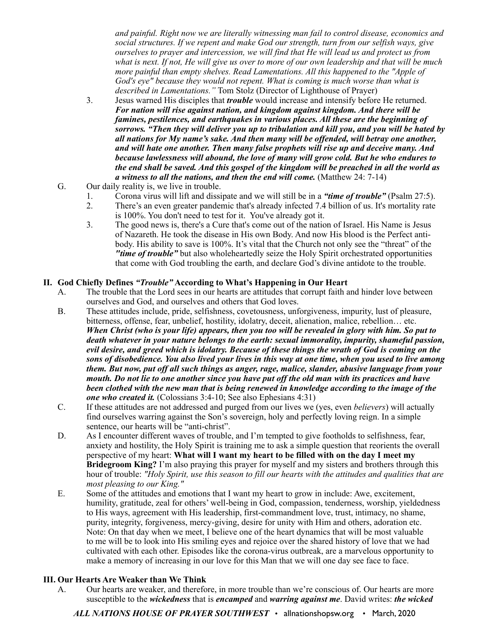*and painful. Right now we are literally witnessing man fail to control disease, economics and social structures. If we repent and make God our strength, turn from our selfish ways, give ourselves to prayer and intercession, we will find that He will lead us and protect us from what is next. If not, He will give us over to more of our own leadership and that will be much more painful than empty shelves. Read Lamentations. All this happened to the "Apple of God's eye" because they would not repent. What is coming is much worse than what is described in Lamentations."* Tom Stolz (Director of Lighthouse of Prayer)

- 3. Jesus warned His disciples that *trouble* would increase and intensify before He returned. *For nation will rise against nation, and kingdom against kingdom. And there will be famines, pestilences, and earthquakes in various places. All these are the beginning of sorrows. "Then they will deliver you up to tribulation and kill you, and you will be hated by all nations for My name's sake. And then many will be offended, will betray one another, and will hate one another. Then many false prophets will rise up and deceive many. And because lawlessness will abound, the love of many will grow cold. But he who endures to the end shall be saved. And this gospel of the kingdom will be preached in all the world as a witness to all the nations, and then the end will come.* (Matthew 24: 7-14)
- G. Our daily reality is, we live in trouble.
	- 1. Corona virus will lift and dissipate and we will still be in a *"time of trouble"* (Psalm 27:5).
	- 2. There's an even greater pandemic that's already infected 7.4 billion of us. It's mortality rate is 100%. You don't need to test for it. You've already got it.
	- 3. The good news is, there's a Cure that's come out of the nation of Israel. His Name is Jesus of Nazareth. He took the disease in His own Body. And now His blood is the Perfect anti body. His ability to save is 100%. It's vital that the Church not only see the "threat" of the *"time of trouble"* but also wholeheartedly seize the Holy Spirit orchestrated opportunities that come with God troubling the earth, and declare God's divine antidote to the trouble.

### **II. God Chiefly Defines** *"Trouble"* **According to What's Happening in Our Heart**

- A. The trouble that the Lord sees in our hearts are attitudes that corrupt faith and hinder love between ourselves and God, and ourselves and others that God loves.
- B. These attitudes include, pride, selfishness, covetousness, unforgiveness, impurity, lust of pleasure, bitterness, offense, fear, unbelief, hostility, idolatry, deceit, alienation, malice, rebellion… etc. *When Christ (who is your life) appears, then you too will be revealed in glory with him. So put to death whatever in your nature belongs to the earth: sexual immorality, impurity, shameful passion, evil desire, and greed which is idolatry. Because of these things the wrath of God is coming on the sons of disobedience. You also lived your lives in this way at one time, when you used to live among them. But now, put off all such things as anger, rage, malice, slander, abusive language from your mouth. Do not lie to one another since you have put off the old man with its practices and have*  been clothed with the new man that is being renewed in knowledge according to the image of the *one who created it.* (Colossians 3:4-10; See also Ephesians 4:31)
- C. If these attitudes are not addressed and purged from our lives we (yes, even *believers*) will actually find ourselves warring against the Son's sovereign, holy and perfectly loving reign. In a simple sentence, our hearts will be "anti-christ".
- D. As I encounter different waves of trouble, and I'm tempted to give footholds to selfishness, fear, anxiety and hostility, the Holy Spirit is training me to ask a simple question that reorients the overall perspective of my heart: **What will I want my heart to be filled with on the day I meet my Bridegroom King?** I'm also praying this prayer for myself and my sisters and brothers through this hour of trouble: *"Holy Spirit, use this season to fill our hearts with the attitudes and qualities that are most pleasing to our King."*
- E. Some of the attitudes and emotions that I want my heart to grow in include: Awe, excitement, humility, gratitude, zeal for others' well-being in God, compassion, tenderness, worship, yieldedness to His ways, agreement with His leadership, first-commandment love, trust, intimacy, no shame, purity, integrity, forgiveness, mercy-giving, desire for unity with Him and others, adoration etc. Note: On that day when we meet, I believe one of the heart dynamics that will be most valuable to me will be to look into His smiling eyes and rejoice over the shared history of love that we had cultivated with each other. Episodes like the corona-virus outbreak, are a marvelous opportunity to make a memory of increasing in our love for this Man that we will one day see face to face.

#### **III. Our Hearts Are Weaker than We Think**

A. Our hearts are weaker, and therefore, in more trouble than we're conscious of. Our hearts are more susceptible to the *wickedness* that is *encamped* and *warring against me*. David writes: *the wicked*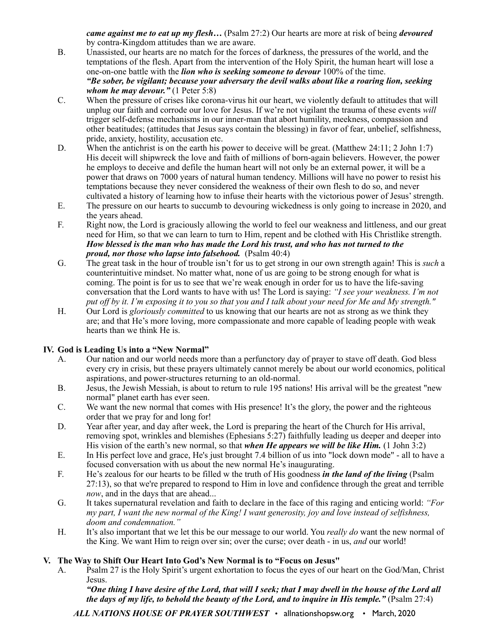*came against me to eat up my flesh…* (Psalm 27:2) Our hearts are more at risk of being *devoured* by contra-Kingdom attitudes than we are aware.

- B. Unassisted, our hearts are no match for the forces of darkness, the pressures of the world, and the temptations of the flesh. Apart from the intervention of the Holy Spirit, the human heart will lose a one-on-one battle with the *lion who is seeking someone to devour* 100% of the time. *"Be sober, be vigilant; because your adversary the devil walks about like a roaring lion, seeking whom he may devour."* (1 Peter 5:8)
- C. When the pressure of crises like corona-virus hit our heart, we violently default to attitudes that will unplug our faith and corrode our love for Jesus. If we're not vigilant the trauma of these events *will* trigger self-defense mechanisms in our inner-man that abort humility, meekness, compassion and other beatitudes; (attitudes that Jesus says contain the blessing) in favor of fear, unbelief, selfishness, pride, anxiety, hostility, accusation etc.
- D. When the antichrist is on the earth his power to deceive will be great. (Matthew 24:11; 2 John 1:7) His deceit will shipwreck the love and faith of millions of born-again believers. However, the power he employs to deceive and defile the human heart will not only be an external power, it will be a power that draws on 7000 years of natural human tendency. Millions will have no power to resist his temptations because they never considered the weakness of their own flesh to do so, and never cultivated a history of learning how to infuse their hearts with the victorious power of Jesus' strength.
- E. The pressure on our hearts to succumb to devouring wickedness is only going to increase in 2020, and the years ahead.
- F. Right now, the Lord is graciously allowing the world to feel our weakness and littleness, and our great need for Him, so that we can learn to turn to Him, repent and be clothed with His Christlike strength. *How blessed is the man who has made the Lord his trust, and who has not turned to the proud, nor those who lapse into falsehood.* (Psalm 40:4)
- G. The great task in the hour of trouble isn't for us to get strong in our own strength again! This is *such* a counterintuitive mindset. No matter what, none of us are going to be strong enough for what is coming. The point is for us to see that we're weak enough in order for us to have the life-saving conversation that the Lord wants to have with us! The Lord is saying: *"I see your weakness. I'm not put off by it. I'm exposing it to you so that you and I talk about your need for Me and My strength."*
- H. Our Lord is *gloriously committed* to us knowing that our hearts are not as strong as we think they are; and that He's more loving, more compassionate and more capable of leading people with weak hearts than we think He is.

# **IV. God is Leading Us into a "New Normal"**

- A. Our nation and our world needs more than a perfunctory day of prayer to stave off death. God bless every cry in crisis, but these prayers ultimately cannot merely be about our world economics, political aspirations, and power-structures returning to an old-normal.
- B. Jesus, the Jewish Messiah, is about to return to rule 195 nations! His arrival will be the greatest "new normal" planet earth has ever seen.
- C. We want the new normal that comes with His presence! It's the glory, the power and the righteous order that we pray for and long for!
- D. Year after year, and day after week, the Lord is preparing the heart of the Church for His arrival, removing spot, wrinkles and blemishes (Ephesians 5:27) faithfully leading us deeper and deeper into His vision of the earth's new normal, so that *when He appears we will be like Him.* (1 John 3:2)
- E. In His perfect love and grace, He's just brought 7.4 billion of us into "lock down mode" all to have a focused conversation with us about the new normal He's inaugurating.
- F. He's zealous for our hearts to be filled w the truth of His goodness *in the land of the living* (Psalm 27:13), so that we're prepared to respond to Him in love and confidence through the great and terrible *now*, and in the days that are ahead...
- G. It takes supernatural revelation and faith to declare in the face of this raging and enticing world: *"For my part, I want the new normal of the King! I want generosity, joy and love instead of selfishness, doom and condemnation."*
- H. It's also important that we let this be our message to our world. You *really do* want the new normal of the King. We want Him to reign over sin; over the curse; over death - in us, *and* our world!

# **V. The Way to Shift Our Heart Into God's New Normal is to "Focus on Jesus"**

 A. Psalm 27 is the Holy Spirit's urgent exhortation to focus the eyes of our heart on the God/Man, Christ Jesus.

 *"One thing I have desire of the Lord, that will I seek; that I may dwell in the house of the Lord all the days of my life, to behold the beauty of the Lord, and to inquire in His temple."* (Psalm 27:4)

*ALL NATIONS HOUSE OF PRAYER SOUTHWEST* • allnationshopsw.org • March, 2020